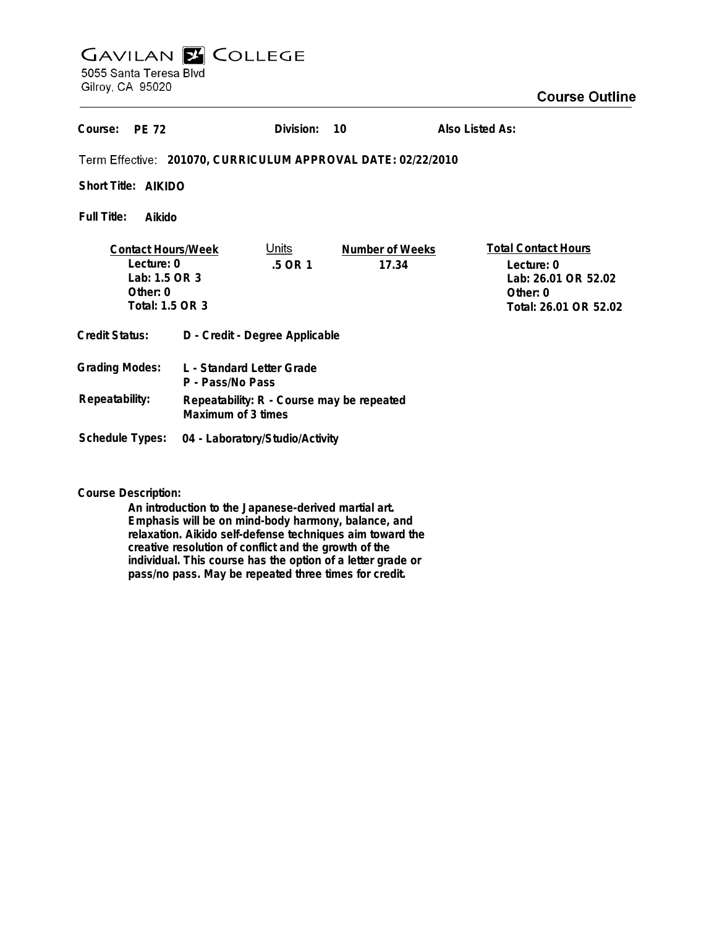# **GAVILAN Z COLLEGE** 5055 Santa Teresa Blvd

Gilroy, CA 95020

## **Course Outline**

| Course:<br><b>PE 72</b>                                                                   |                                                                 | Division:        | 10                              | Also Listed As: |                                                                                                      |
|-------------------------------------------------------------------------------------------|-----------------------------------------------------------------|------------------|---------------------------------|-----------------|------------------------------------------------------------------------------------------------------|
| Term Effective: 201070, CURRICULUM APPROVAL DATE: 02/22/2010                              |                                                                 |                  |                                 |                 |                                                                                                      |
| Short Title: AIKIDO                                                                       |                                                                 |                  |                                 |                 |                                                                                                      |
| <b>Full Title:</b><br>Aikido                                                              |                                                                 |                  |                                 |                 |                                                                                                      |
| <b>Contact Hours/Week</b><br>Lecture: 0<br>Lab: 1.5 OR 3<br>Other: $0$<br>Total: 1.5 OR 3 |                                                                 | Units<br>.5 OR 1 | <b>Number of Weeks</b><br>17.34 |                 | <b>Total Contact Hours</b><br>Lecture: 0<br>Lab: 26.01 OR 52.02<br>Other: 0<br>Total: 26.01 OR 52.02 |
| <b>Credit Status:</b>                                                                     | D - Credit - Degree Applicable                                  |                  |                                 |                 |                                                                                                      |
| <b>Grading Modes:</b>                                                                     | L - Standard Letter Grade<br>P - Pass/No Pass                   |                  |                                 |                 |                                                                                                      |
| Repeatability:                                                                            | Repeatability: R - Course may be repeated<br>Maximum of 3 times |                  |                                 |                 |                                                                                                      |
| Schedule Types:                                                                           | 04 - Laboratory/Studio/Activity                                 |                  |                                 |                 |                                                                                                      |

**Course Description:**

**An introduction to the Japanese-derived martial art. Emphasis will be on mind-body harmony, balance, and relaxation. Aikido self-defense techniques aim toward the creative resolution of conflict and the growth of the individual. This course has the option of a letter grade or pass/no pass. May be repeated three times for credit.**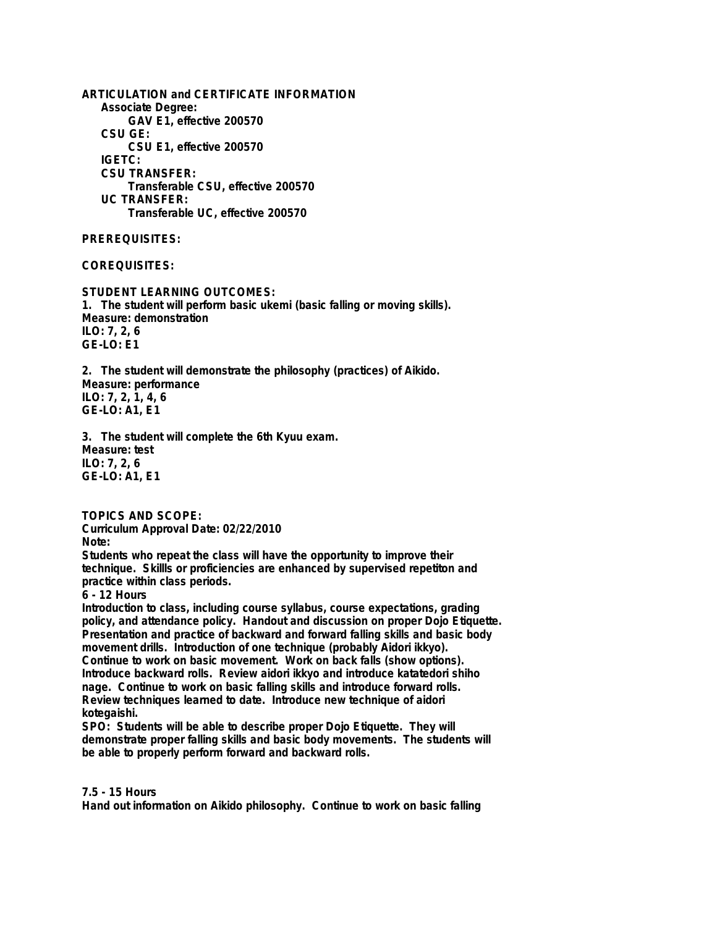**ARTICULATION and CERTIFICATE INFORMATION Associate Degree: GAV E1, effective 200570 CSU GE: CSU E1, effective 200570 IGETC: CSU TRANSFER: Transferable CSU, effective 200570 UC TRANSFER: Transferable UC, effective 200570**

**PREREQUISITES:**

**COREQUISITES:**

**STUDENT LEARNING OUTCOMES: 1. The student will perform basic ukemi (basic falling or moving skills). Measure: demonstration ILO: 7, 2, 6 GE-LO: E1**

**2. The student will demonstrate the philosophy (practices) of Aikido. Measure: performance ILO: 7, 2, 1, 4, 6 GE-LO: A1, E1**

**3. The student will complete the 6th Kyuu exam. Measure: test ILO: 7, 2, 6 GE-LO: A1, E1**

**TOPICS AND SCOPE: Curriculum Approval Date: 02/22/2010**

**Note:**

**Students who repeat the class will have the opportunity to improve their technique. Skillls or proficiencies are enhanced by supervised repetiton and practice within class periods.**

**6 - 12 Hours**

**Introduction to class, including course syllabus, course expectations, grading policy, and attendance policy. Handout and discussion on proper Dojo Etiquette. Presentation and practice of backward and forward falling skills and basic body movement drills. Introduction of one technique (probably Aidori ikkyo). Continue to work on basic movement. Work on back falls (show options). Introduce backward rolls. Review aidori ikkyo and introduce katatedori shiho nage. Continue to work on basic falling skills and introduce forward rolls. Review techniques learned to date. Introduce new technique of aidori kotegaishi.**

**SPO: Students will be able to describe proper Dojo Etiquette. They will demonstrate proper falling skills and basic body movements. The students will be able to properly perform forward and backward rolls.**

### **7.5 - 15 Hours**

**Hand out information on Aikido philosophy. Continue to work on basic falling**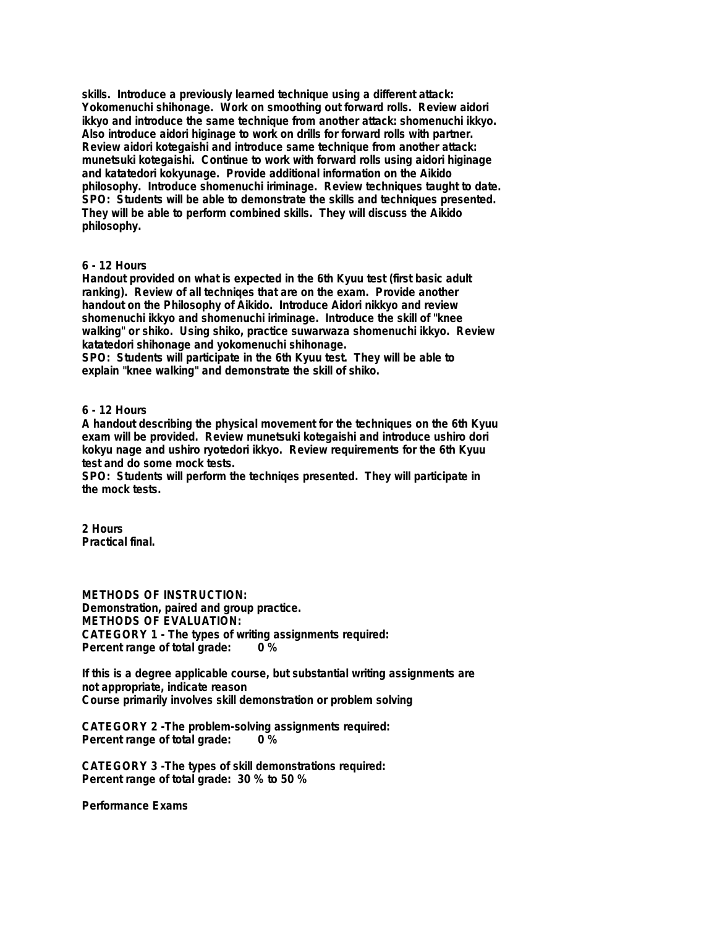**skills. Introduce a previously learned technique using a different attack: Yokomenuchi shihonage. Work on smoothing out forward rolls. Review aidori ikkyo and introduce the same technique from another attack: shomenuchi ikkyo. Also introduce aidori higinage to work on drills for forward rolls with partner. Review aidori kotegaishi and introduce same technique from another attack: munetsuki kotegaishi. Continue to work with forward rolls using aidori higinage and katatedori kokyunage. Provide additional information on the Aikido philosophy. Introduce shomenuchi iriminage. Review techniques taught to date. SPO: Students will be able to demonstrate the skills and techniques presented. They will be able to perform combined skills. They will discuss the Aikido philosophy.**

#### **6 - 12 Hours**

**Handout provided on what is expected in the 6th Kyuu test (first basic adult ranking). Review of all techniqes that are on the exam. Provide another handout on the Philosophy of Aikido. Introduce Aidori nikkyo and review shomenuchi ikkyo and shomenuchi iriminage. Introduce the skill of "knee walking" or shiko. Using shiko, practice suwarwaza shomenuchi ikkyo. Review katatedori shihonage and yokomenuchi shihonage.**

**SPO: Students will participate in the 6th Kyuu test. They will be able to explain "knee walking" and demonstrate the skill of shiko.**

#### **6 - 12 Hours**

**A handout describing the physical movement for the techniques on the 6th Kyuu exam will be provided. Review munetsuki kotegaishi and introduce ushiro dori kokyu nage and ushiro ryotedori ikkyo. Review requirements for the 6th Kyuu test and do some mock tests.**

**SPO: Students will perform the techniqes presented. They will participate in the mock tests.**

**2 Hours Practical final.**

**METHODS OF INSTRUCTION: Demonstration, paired and group practice. METHODS OF EVALUATION: CATEGORY 1 - The types of writing assignments required: Percent range of total grade: 0 %**

**If this is a degree applicable course, but substantial writing assignments are not appropriate, indicate reason Course primarily involves skill demonstration or problem solving**

**CATEGORY 2 -The problem-solving assignments required: Percent range of total grade:** 

**CATEGORY 3 -The types of skill demonstrations required: Percent range of total grade: 30 % to 50 %**

**Performance Exams**